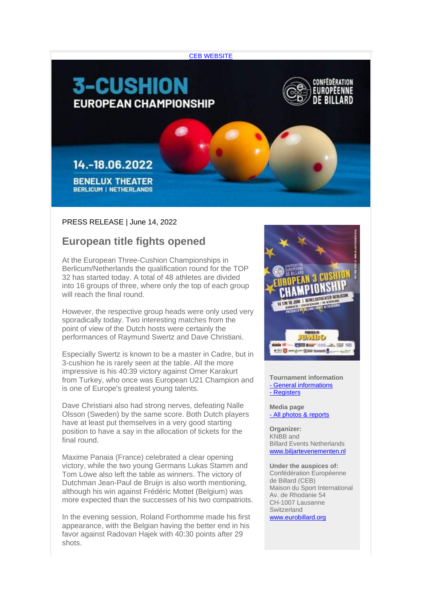

## PRESS RELEASE | June 14, 2022

## **European title fights opened**

At the European Three-Cushion Championships in Berlicum/Netherlands the qualification round for the TOP 32 has started today. A total of 48 athletes are divided into 16 groups of three, where only the top of each group will reach the final round.

However, the respective group heads were only used very sporadically today. Two interesting matches from the point of view of the Dutch hosts were certainly the performances of Raymund Swertz and Dave Christiani.

Especially Swertz is known to be a master in Cadre, but in 3-cushion he is rarely seen at the table. All the more impressive is his 40:39 victory against Omer Karakurt from Turkey, who once was European U21 Champion and is one of Europe's greatest young talents.

Dave Christiani also had strong nerves, defeating Nalle Olsson (Sweden) by the same score. Both Dutch players have at least put themselves in a very good starting position to have a say in the allocation of tickets for the final round.

Maxime Panaia (France) celebrated a clear opening victory, while the two young Germans Lukas Stamm and Tom Löwe also left the table as winners. The victory of Dutchman Jean-Paul de Bruijn is also worth mentioning, although his win against Frédéric Mottet (Belgium) was more expected than the successes of his two compatriots.

In the evening session, Roland Forthomme made his first appearance, with the Belgian having the better end in his favor against Radovan Hajek with 40:30 points after 29 shots.



**Tournament information** - [General informations](https://amxe.net/eytp5ow7-nqikrykz-ei13g5wm-smx) - [Registers](https://amxe.net/eytp5ow7-nqikrykz-it5y3i5u-1ahd)

**Media page** - [All photos & reports](https://amxe.net/eytp5ow7-nqikrykz-nnk8xzxv-qcc)

**Organizer:** KNBB and Billard Events Netherlands [www.biljartevenementen.nl](https://amxe.net/eytp5ow7-nqikrykz-prire1yv-dyk)

**Under the auspices of:** Confédération Européenne de Billard (CEB) Maison du Sport International Av. de Rhodanie 54 CH-1007 Lausanne Switzerland [www.eurobillard.org](https://amxe.net/eytp5ow7-nqikrykz-sjdj8l4i-19mj)